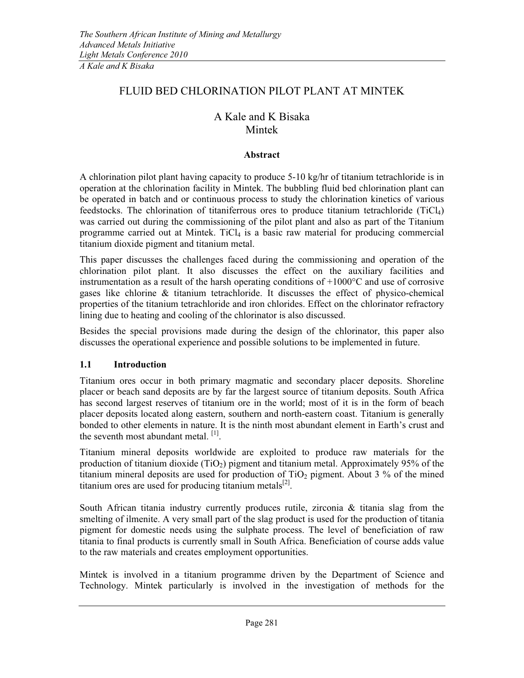# FLUID BED CHLORINATION PILOT PLANT AT MINTEK

# A Kale and K Bisaka Mintek

#### Abstract

A chlorination pilot plant having capacity to produce 5-10 kg/hr of titanium tetrachloride is in operation at the chlorination facility in Mintek. The bubbling fluid bed chlorination plant can be operated in batch and or continuous process to study the chlorination kinetics of various feedstocks. The chlorination of titaniferrous ores to produce titanium tetrachloride  $(TiCl<sub>4</sub>)$ was carried out during the commissioning of the pilot plant and also as part of the Titanium programme carried out at Mintek. TiCl<sub>4</sub> is a basic raw material for producing commercial titanium dioxide pigment and titanium metal.

This paper discusses the challenges faced during the commissioning and operation of the chlorination pilot plant. It also discusses the effect on the auxiliary facilities and instrumentation as a result of the harsh operating conditions of  $+1000^{\circ}$ C and use of corrosive gases like chlorine & titanium tetrachloride. It discusses the effect of physico-chemical properties of the titanium tetrachloride and iron chlorides. Effect on the chlorinator refractory lining due to heating and cooling of the chlorinator is also discussed.

Besides the special provisions made during the design of the chlorinator, this paper also discusses the operational experience and possible solutions to be implemented in future.

### 1.1 Introduction

Titanium ores occur in both primary magmatic and secondary placer deposits. Shoreline placer or beach sand deposits are by far the largest source of titanium deposits. South Africa has second largest reserves of titanium ore in the world; most of it is in the form of beach placer deposits located along eastern, southern and north-eastern coast. Titanium is generally bonded to other elements in nature. It is the ninth most abundant element in Earth's crust and the seventh most abundant metal. [1].

Titanium mineral deposits worldwide are exploited to produce raw materials for the production of titanium dioxide (TiO<sub>2</sub>) pigment and titanium metal. Approximately 95% of the titanium mineral deposits are used for production of  $TiO<sub>2</sub>$  pigment. About 3 % of the mined titanium ores are used for producing titanium metals $^{[2]}$ .

South African titania industry currently produces rutile, zirconia & titania slag from the smelting of ilmenite. A very small part of the slag product is used for the production of titania pigment for domestic needs using the sulphate process. The level of beneficiation of raw titania to final products is currently small in South Africa. Beneficiation of course adds value to the raw materials and creates employment opportunities.

Mintek is involved in a titanium programme driven by the Department of Science and Technology. Mintek particularly is involved in the investigation of methods for the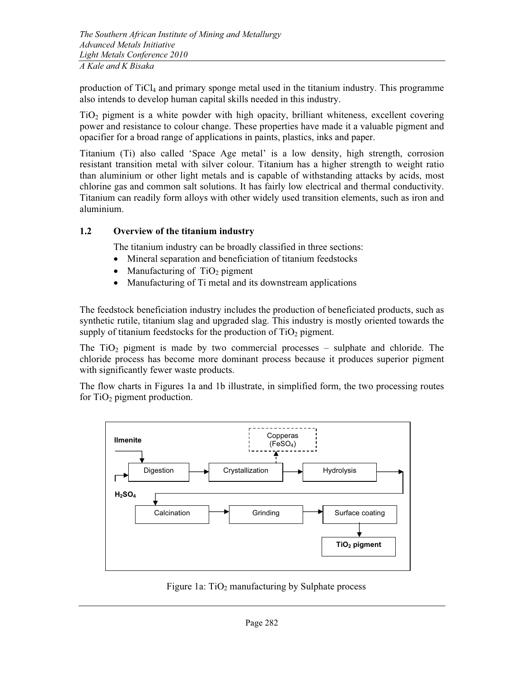production of  $TiCl<sub>4</sub>$  and primary sponge metal used in the titanium industry. This programme also intends to develop human capital skills needed in this industry.

TiO2 pigment is a white powder with high opacity, brilliant whiteness, excellent covering power and resistance to colour change. These properties have made it a valuable pigment and opacifier for a broad range of applications in paints, plastics, inks and paper.

Titanium (Ti) also called 'Space Age metal' is a low density, high strength, corrosion resistant transition metal with silver colour. Titanium has a higher strength to weight ratio than aluminium or other light metals and is capable of withstanding attacks by acids, most chlorine gas and common salt solutions. It has fairly low electrical and thermal conductivity. Titanium can readily form alloys with other widely used transition elements, such as iron and aluminium.

### 1.2 Overview of the titanium industry

The titanium industry can be broadly classified in three sections:

- •Mineral separation and beneficiation of titanium feedstocks
- Manufacturing of  $TiO<sub>2</sub>$  pigment
- •Manufacturing of Ti metal and its downstream applications

The feedstock beneficiation industry includes the production of beneficiated products, such as synthetic rutile, titanium slag and upgraded slag. This industry is mostly oriented towards the supply of titanium feedstocks for the production of  $TiO<sub>2</sub>$  pigment.

The  $TiO<sub>2</sub>$  pigment is made by two commercial processes – sulphate and chloride. The chloride process has become more dominant process because it produces superior pigment with significantly fewer waste products.

The flow charts in Figures 1a and 1b illustrate, in simplified form, the two processing routes for  $TiO<sub>2</sub>$  pigment production.



Figure 1a:  $TiO<sub>2</sub>$  manufacturing by Sulphate process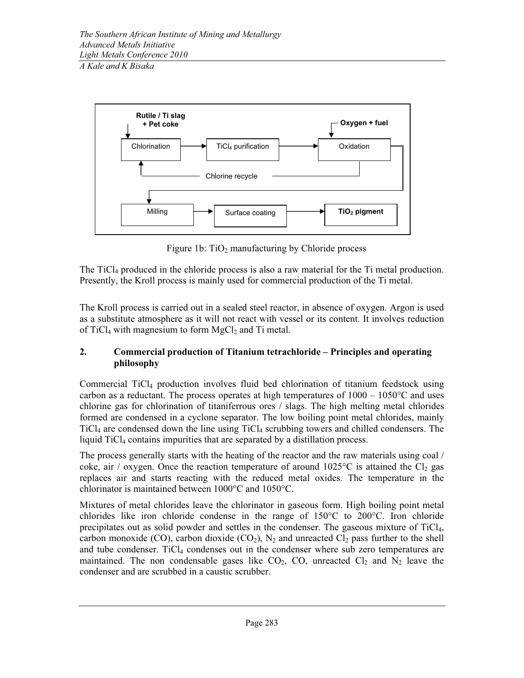

Figure 1b:  $TiO<sub>2</sub>$  manufacturing by Chloride process

The TiCl4 produced in the chloride process is also a raw material for the Ti metal production. Presently, the Kroll process is mainly used for commercial production of the Ti metal.

The Kroll process is carried out in a sealed steel reactor, in absence of oxygen. Argon is used as a substitute atmosphere as it will not react with vessel or its content. It involves reduction of TiCl<sub>4</sub> with magnesium to form  $MgCl<sub>2</sub>$  and Ti metal.

### 2. Commercial production of Titanium tetrachloride – Principles and operating philosophy

Commercial TiCl4 production involves fluid bed chlorination of titanium feedstock using carbon as a reductant. The process operates at high temperatures of  $1000 - 1050$ °C and uses chlorine gas for chlorination of titaniferrous ores / slags. The high melting metal chlorides formed are condensed in a cyclone separator. The low boiling point metal chlorides, mainly TiCl4 are condensed down the line using TiCl4 scrubbing towers and chilled condensers. The liquid TiCl<sub>4</sub> contains impurities that are separated by a distillation process.

The process generally starts with the heating of the reactor and the raw materials using coal / coke, air / oxygen. Once the reaction temperature of around  $1025^{\circ}$ C is attained the Cl<sub>2</sub> gas replaces air and starts reacting with the reduced metal oxides. The temperature in the chlorinator is maintained between 1000°C and 1050°C.

Mixtures of metal chlorides leave the chlorinator in gaseous form. High boiling point metal chlorides like iron chloride condense in the range of 150°C to 200°C. Iron chloride precipitates out as solid powder and settles in the condenser. The gaseous mixture of TiCl<sub>4</sub>, carbon monoxide (CO), carbon dioxide (CO<sub>2</sub>), N<sub>2</sub> and unreacted Cl<sub>2</sub> pass further to the shell and tube condenser. TiCl<sub>4</sub> condenses out in the condenser where sub zero temperatures are maintained. The non condensable gases like  $CO<sub>2</sub>$ ,  $CO$ , unreacted  $Cl<sub>2</sub>$  and  $N<sub>2</sub>$  leave the condenser and are scrubbed in a caustic scrubber.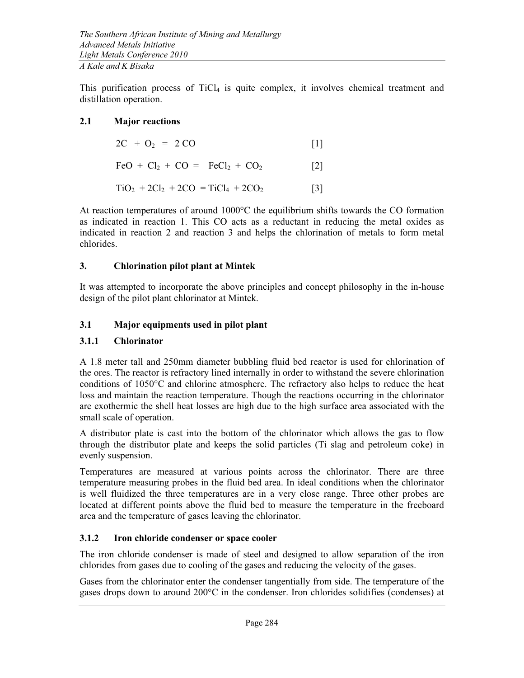This purification process of  $TiCl<sub>4</sub>$  is quite complex, it involves chemical treatment and distillation operation.

### 2.1 Major reactions

| $2C + O_2 = 2 CO$                 |                   |
|-----------------------------------|-------------------|
| $FeO + Cl_2 + CO = FeCl_2 + CO_2$ | $\lceil 2 \rceil$ |

$$
TiO_2 + 2Cl_2 + 2CO = TiCl_4 + 2CO_2
$$
 [3]

At reaction temperatures of around 1000°C the equilibrium shifts towards the CO formation as indicated in reaction 1. This CO acts as a reductant in reducing the metal oxides as indicated in reaction 2 and reaction 3 and helps the chlorination of metals to form metal chlorides.

### 3. Chlorination pilot plant at Mintek

It was attempted to incorporate the above principles and concept philosophy in the in-house design of the pilot plant chlorinator at Mintek.

# 3.1 Major equipments used in pilot plant

## 3.1.1 Chlorinator

A 1.8 meter tall and 250mm diameter bubbling fluid bed reactor is used for chlorination of the ores. The reactor is refractory lined internally in order to withstand the severe chlorination conditions of 1050°C and chlorine atmosphere. The refractory also helps to reduce the heat loss and maintain the reaction temperature. Though the reactions occurring in the chlorinator are exothermic the shell heat losses are high due to the high surface area associated with the small scale of operation.

A distributor plate is cast into the bottom of the chlorinator which allows the gas to flow through the distributor plate and keeps the solid particles (Ti slag and petroleum coke) in evenly suspension.

Temperatures are measured at various points across the chlorinator. There are three temperature measuring probes in the fluid bed area. In ideal conditions when the chlorinator is well fluidized the three temperatures are in a very close range. Three other probes are located at different points above the fluid bed to measure the temperature in the freeboard area and the temperature of gases leaving the chlorinator.

# 3.1.2 Iron chloride condenser or space cooler

The iron chloride condenser is made of steel and designed to allow separation of the iron chlorides from gases due to cooling of the gases and reducing the velocity of the gases.

Gases from the chlorinator enter the condenser tangentially from side. The temperature of the gases drops down to around 200°C in the condenser. Iron chlorides solidifies (condenses) at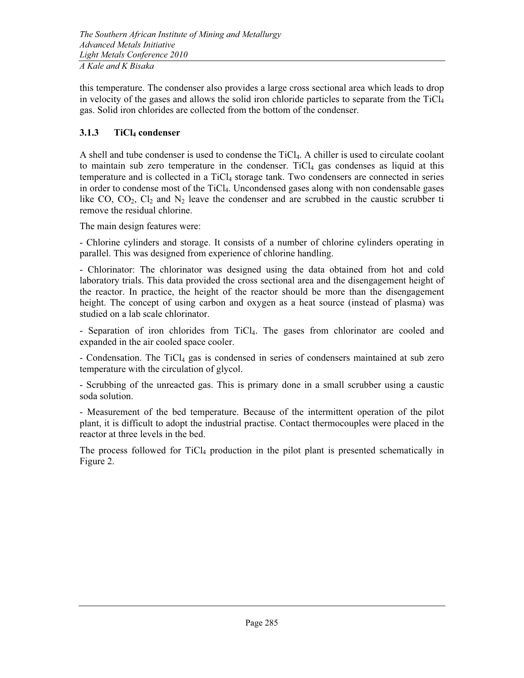this temperature. The condenser also provides a large cross sectional area which leads to drop in velocity of the gases and allows the solid iron chloride particles to separate from the TiCl<sup>4</sup> gas. Solid iron chlorides are collected from the bottom of the condenser.

# 3.1.3 TiCl4 condenser

A shell and tube condenser is used to condense the TiCl4. A chiller is used to circulate coolant to maintain sub zero temperature in the condenser. TiCl $_4$  gas condenses as liquid at this temperature and is collected in a TiCl4 storage tank. Two condensers are connected in series in order to condense most of the TiCl4. Uncondensed gases along with non condensable gases like CO,  $CO_2$ ,  $Cl_2$  and  $N_2$  leave the condenser and are scrubbed in the caustic scrubber ti remove the residual chlorine.

The main design features were:

- Chlorine cylinders and storage. It consists of a number of chlorine cylinders operating in parallel. This was designed from experience of chlorine handling.

- Chlorinator: The chlorinator was designed using the data obtained from hot and cold laboratory trials. This data provided the cross sectional area and the disengagement height of the reactor. In practice, the height of the reactor should be more than the disengagement height. The concept of using carbon and oxygen as a heat source (instead of plasma) was studied on a lab scale chlorinator.

- Separation of iron chlorides from TiCl4*.* The gases from chlorinator are cooled and expanded in the air cooled space cooler.

- Condensation. The TiCl4 gas is condensed in series of condensers maintained at sub zero temperature with the circulation of glycol.

- Scrubbing of the unreacted gas. This is primary done in a small scrubber using a caustic soda solution.

- Measurement of the bed temperature. Because of the intermittent operation of the pilot plant, it is difficult to adopt the industrial practise. Contact thermocouples were placed in the reactor at three levels in the bed.

The process followed for  $TiCl<sub>4</sub>$  production in the pilot plant is presented schematically in Figure 2.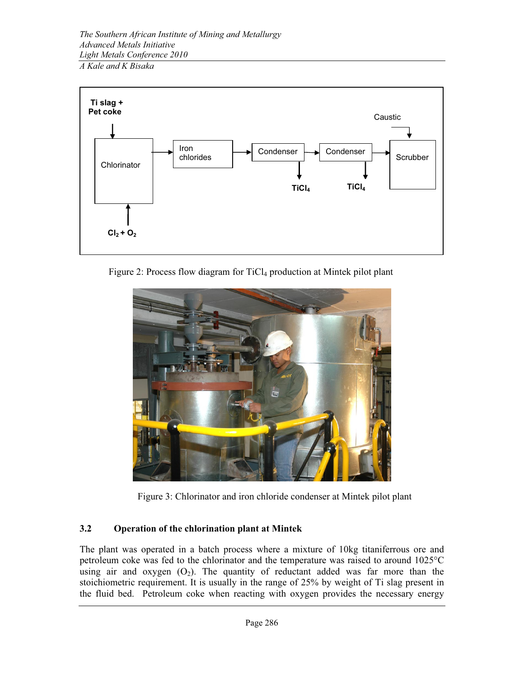

Figure 2: Process flow diagram for TiCl<sub>4</sub> production at Mintek pilot plant



Figure 3: Chlorinator and iron chloride condenser at Mintek pilot plant

# 3.2 Operation of the chlorination plant at Mintek

The plant was operated in a batch process where a mixture of 10kg titaniferrous ore and petroleum coke was fed to the chlorinator and the temperature was raised to around 1025°C using air and oxygen  $(O_2)$ . The quantity of reductant added was far more than the stoichiometric requirement. It is usually in the range of 25% by weight of Ti slag present in the fluid bed. Petroleum coke when reacting with oxygen provides the necessary energy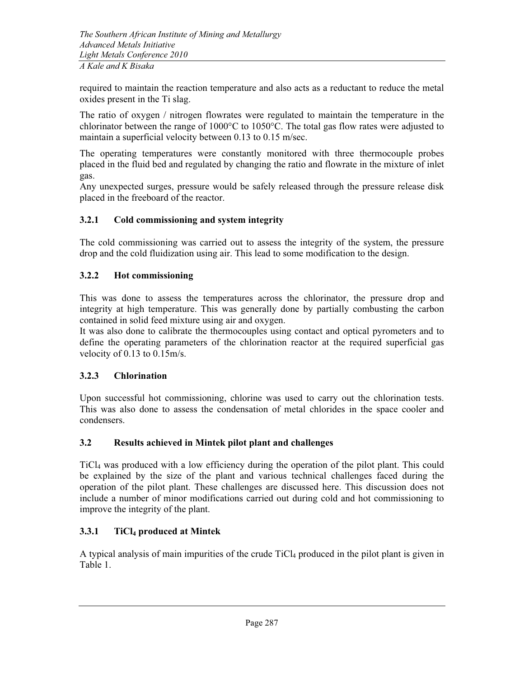required to maintain the reaction temperature and also acts as a reductant to reduce the metal oxides present in the Ti slag.

The ratio of oxygen / nitrogen flowrates were regulated to maintain the temperature in the chlorinator between the range of 1000°C to 1050°C. The total gas flow rates were adjusted to maintain a superficial velocity between 0.13 to 0.15 m/sec.

The operating temperatures were constantly monitored with three thermocouple probes placed in the fluid bed and regulated by changing the ratio and flowrate in the mixture of inlet gas.

Any unexpected surges, pressure would be safely released through the pressure release disk placed in the freeboard of the reactor.

### 3.2.1 Cold commissioning and system integrity

The cold commissioning was carried out to assess the integrity of the system, the pressure drop and the cold fluidization using air. This lead to some modification to the design.

### 3.2.2 Hot commissioning

This was done to assess the temperatures across the chlorinator, the pressure drop and integrity at high temperature. This was generally done by partially combusting the carbon contained in solid feed mixture using air and oxygen.

It was also done to calibrate the thermocouples using contact and optical pyrometers and to define the operating parameters of the chlorination reactor at the required superficial gas velocity of 0.13 to 0.15m/s.

#### 3.2.3 Chlorination

Upon successful hot commissioning, chlorine was used to carry out the chlorination tests. This was also done to assess the condensation of metal chlorides in the space cooler and condensers.

### 3.2 Results achieved in Mintek pilot plant and challenges

TiCl4 was produced with a low efficiency during the operation of the pilot plant. This could be explained by the size of the plant and various technical challenges faced during the operation of the pilot plant. These challenges are discussed here. This discussion does not include a number of minor modifications carried out during cold and hot commissioning to improve the integrity of the plant.

### 3.3.1 TiCl4 produced at Mintek

A typical analysis of main impurities of the crude  $TiCl<sub>4</sub>$  produced in the pilot plant is given in Table 1.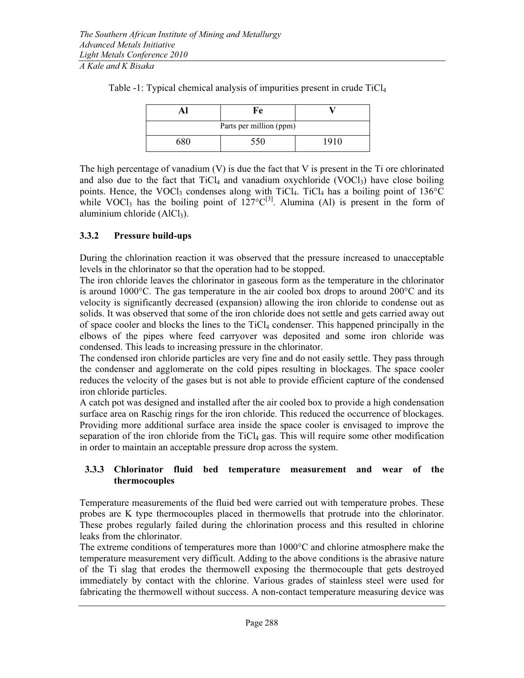|                         | Fe  |      |  |  |
|-------------------------|-----|------|--|--|
| Parts per million (ppm) |     |      |  |  |
| 680                     | 550 | 1910 |  |  |

Table -1: Typical chemical analysis of impurities present in crude TiCl<sup>4</sup>

The high percentage of vanadium (V) is due the fact that V is present in the Ti ore chlorinated and also due to the fact that  $TiCl<sub>4</sub>$  and vanadium oxychloride (VOCl<sub>3</sub>) have close boiling points. Hence, the VOCl<sub>3</sub> condenses along with TiCl<sub>4</sub>. TiCl<sub>4</sub> has a boiling point of  $136^{\circ}$ C while VOCl<sub>3</sub> has the boiling point of  $127^{\circ}C^{[3]}$ . Alumina (Al) is present in the form of aluminium chloride (AlCl<sub>3</sub>).

### 3.3.2 Pressure build-ups

During the chlorination reaction it was observed that the pressure increased to unacceptable levels in the chlorinator so that the operation had to be stopped.

The iron chloride leaves the chlorinator in gaseous form as the temperature in the chlorinator is around 1000 $^{\circ}$ C. The gas temperature in the air cooled box drops to around 200 $^{\circ}$ C and its velocity is significantly decreased (expansion) allowing the iron chloride to condense out as solids. It was observed that some of the iron chloride does not settle and gets carried away out of space cooler and blocks the lines to the TiCl<sub>4</sub> condenser. This happened principally in the elbows of the pipes where feed carryover was deposited and some iron chloride was condensed. This leads to increasing pressure in the chlorinator.

The condensed iron chloride particles are very fine and do not easily settle. They pass through the condenser and agglomerate on the cold pipes resulting in blockages. The space cooler reduces the velocity of the gases but is not able to provide efficient capture of the condensed iron chloride particles.

A catch pot was designed and installed after the air cooled box to provide a high condensation surface area on Raschig rings for the iron chloride. This reduced the occurrence of blockages. Providing more additional surface area inside the space cooler is envisaged to improve the separation of the iron chloride from the  $TiCl<sub>4</sub>$  gas. This will require some other modification in order to maintain an acceptable pressure drop across the system.

### 3.3.3 Chlorinator fluid bed temperature measurement and wear of the thermocouples

Temperature measurements of the fluid bed were carried out with temperature probes. These probes are K type thermocouples placed in thermowells that protrude into the chlorinator. These probes regularly failed during the chlorination process and this resulted in chlorine leaks from the chlorinator.

The extreme conditions of temperatures more than 1000°C and chlorine atmosphere make the temperature measurement very difficult. Adding to the above conditions is the abrasive nature of the Ti slag that erodes the thermowell exposing the thermocouple that gets destroyed immediately by contact with the chlorine. Various grades of stainless steel were used for fabricating the thermowell without success. A non-contact temperature measuring device was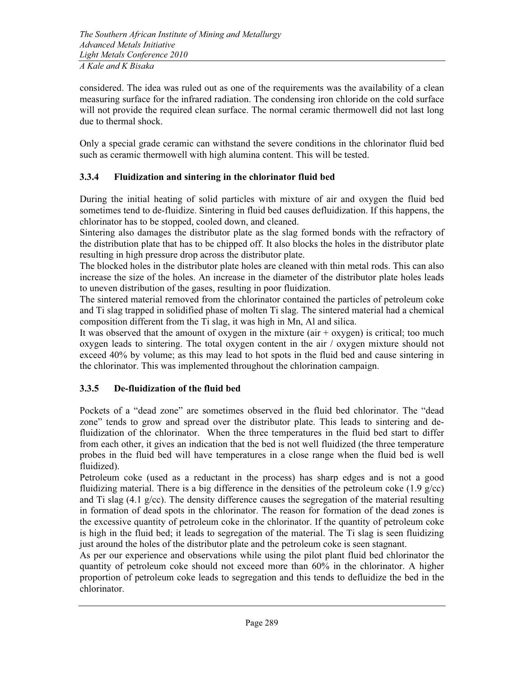considered. The idea was ruled out as one of the requirements was the availability of a clean measuring surface for the infrared radiation. The condensing iron chloride on the cold surface will not provide the required clean surface. The normal ceramic thermowell did not last long due to thermal shock.

Only a special grade ceramic can withstand the severe conditions in the chlorinator fluid bed such as ceramic thermowell with high alumina content. This will be tested.

### 3.3.4 Fluidization and sintering in the chlorinator fluid bed

During the initial heating of solid particles with mixture of air and oxygen the fluid bed sometimes tend to de-fluidize. Sintering in fluid bed causes defluidization. If this happens, the chlorinator has to be stopped, cooled down, and cleaned.

Sintering also damages the distributor plate as the slag formed bonds with the refractory of the distribution plate that has to be chipped off. It also blocks the holes in the distributor plate resulting in high pressure drop across the distributor plate.

The blocked holes in the distributor plate holes are cleaned with thin metal rods. This can also increase the size of the holes. An increase in the diameter of the distributor plate holes leads to uneven distribution of the gases, resulting in poor fluidization.

The sintered material removed from the chlorinator contained the particles of petroleum coke and Ti slag trapped in solidified phase of molten Ti slag. The sintered material had a chemical composition different from the Ti slag, it was high in Mn, Al and silica.

It was observed that the amount of oxygen in the mixture  $(air + oxygen)$  is critical; too much oxygen leads to sintering. The total oxygen content in the air / oxygen mixture should not exceed 40% by volume; as this may lead to hot spots in the fluid bed and cause sintering in the chlorinator. This was implemented throughout the chlorination campaign.

# 3.3.5 De-fluidization of the fluid bed

Pockets of a "dead zone" are sometimes observed in the fluid bed chlorinator. The "dead zone" tends to grow and spread over the distributor plate. This leads to sintering and defluidization of the chlorinator. When the three temperatures in the fluid bed start to differ from each other, it gives an indication that the bed is not well fluidized (the three temperature probes in the fluid bed will have temperatures in a close range when the fluid bed is well fluidized).

Petroleum coke (used as a reductant in the process) has sharp edges and is not a good fluidizing material. There is a big difference in the densities of the petroleum coke  $(1.9 \text{ g/cc})$ and Ti slag (4.1 g/cc). The density difference causes the segregation of the material resulting in formation of dead spots in the chlorinator. The reason for formation of the dead zones is the excessive quantity of petroleum coke in the chlorinator. If the quantity of petroleum coke is high in the fluid bed; it leads to segregation of the material. The Ti slag is seen fluidizing just around the holes of the distributor plate and the petroleum coke is seen stagnant.

As per our experience and observations while using the pilot plant fluid bed chlorinator the quantity of petroleum coke should not exceed more than 60% in the chlorinator. A higher proportion of petroleum coke leads to segregation and this tends to defluidize the bed in the chlorinator.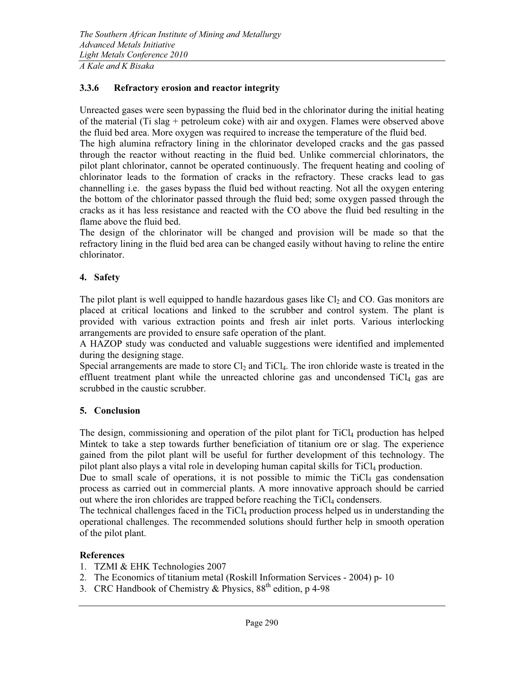#### 3.3.6 Refractory erosion and reactor integrity

Unreacted gases were seen bypassing the fluid bed in the chlorinator during the initial heating of the material (Ti slag + petroleum coke) with air and oxygen. Flames were observed above the fluid bed area. More oxygen was required to increase the temperature of the fluid bed.

The high alumina refractory lining in the chlorinator developed cracks and the gas passed through the reactor without reacting in the fluid bed. Unlike commercial chlorinators, the pilot plant chlorinator, cannot be operated continuously. The frequent heating and cooling of chlorinator leads to the formation of cracks in the refractory. These cracks lead to gas channelling i.e. the gases bypass the fluid bed without reacting. Not all the oxygen entering the bottom of the chlorinator passed through the fluid bed; some oxygen passed through the cracks as it has less resistance and reacted with the CO above the fluid bed resulting in the flame above the fluid bed.

The design of the chlorinator will be changed and provision will be made so that the refractory lining in the fluid bed area can be changed easily without having to reline the entire chlorinator.

### 4. Safety

The pilot plant is well equipped to handle hazardous gases like  $Cl<sub>2</sub>$  and CO. Gas monitors are placed at critical locations and linked to the scrubber and control system. The plant is provided with various extraction points and fresh air inlet ports. Various interlocking arrangements are provided to ensure safe operation of the plant.

A HAZOP study was conducted and valuable suggestions were identified and implemented during the designing stage.

Special arrangements are made to store  $Cl_2$  and TiCl<sub>4</sub>. The iron chloride waste is treated in the effluent treatment plant while the unreacted chlorine gas and uncondensed  $TiCl<sub>4</sub>$  gas are scrubbed in the caustic scrubber.

### 5. Conclusion

The design, commissioning and operation of the pilot plant for TiCl<sub>4</sub> production has helped Mintek to take a step towards further beneficiation of titanium ore or slag. The experience gained from the pilot plant will be useful for further development of this technology. The pilot plant also plays a vital role in developing human capital skills for TiCl<sub>4</sub> production.

Due to small scale of operations, it is not possible to mimic the  $TiCl<sub>4</sub>$  gas condensation process as carried out in commercial plants. A more innovative approach should be carried out where the iron chlorides are trapped before reaching the  $TiCl<sub>4</sub>$  condensers.

The technical challenges faced in the  $TiCl<sub>4</sub>$  production process helped us in understanding the operational challenges. The recommended solutions should further help in smooth operation of the pilot plant.

#### References

- 1. TZMI & EHK Technologies 2007
- 2. The Economics of titanium metal (Roskill Information Services 2004) p- 10
- 3. CRC Handbook of Chemistry & Physics,  $88<sup>th</sup>$  edition, p 4-98